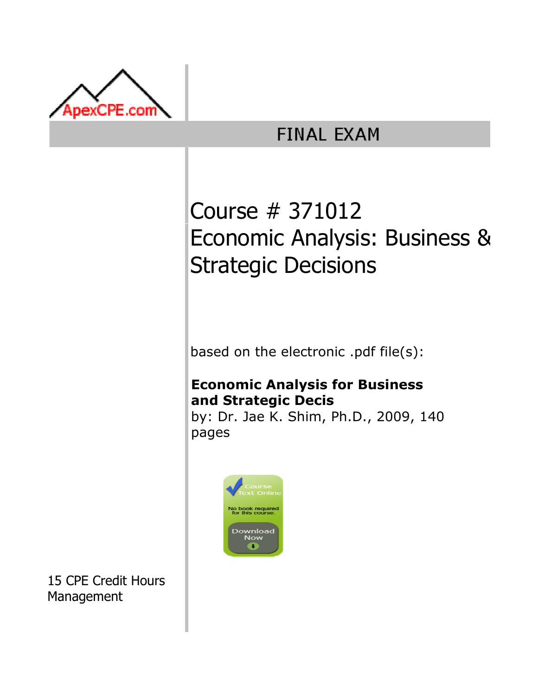

## **FINAL EXAM**

# Course # 371012 Economic Analysis: Business & Strategic Decisions

based on the electronic .pdf file(s):

## Economic Analysis for Business and Strategic Decis

by: Dr. Jae K. Shim, Ph.D., 2009, 140 pages



15 CPE Credit Hours Management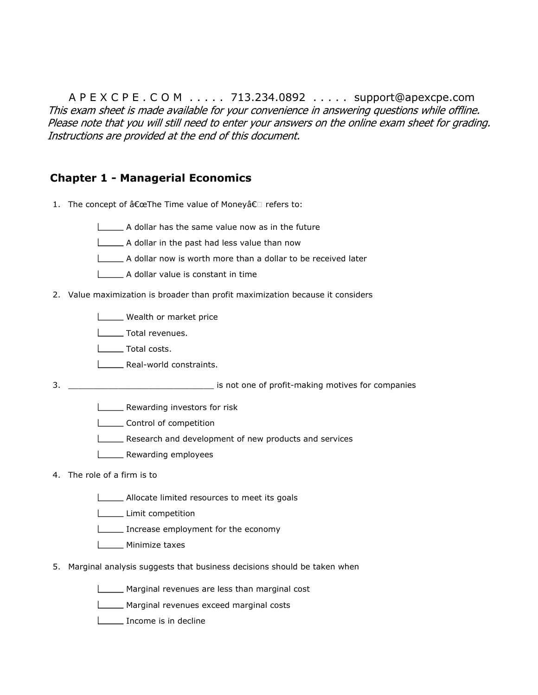A P E X C P E . C O M . . . . . 713.234.0892 . . . . . support@apexcpe.com This exam sheet is made available for your convenience in answering questions while offline. Please note that you will still need to enter your answers on the online exam sheet for grading. Instructions are provided at the end of this document.

### Chapter 1 - Managerial Economics

1. The concept of "The Time value of Money†refers to:

#### A dollar has the same value now as in the future

- A dollar in the past had less value than now
- A dollar now is worth more than a dollar to be received later
- A dollar value is constant in time
- 2. Value maximization is broader than profit maximization because it considers
	- **LETT** Wealth or market price
	- **L** Total revenues.
	- **Lacks** Total costs.
	- **LECTE** Real-world constraints.
- 3. \_\_\_\_\_\_\_\_\_\_\_\_\_\_\_\_\_\_\_\_\_\_\_\_\_\_\_\_\_ is not one of profit-making motives for companies
	- **LETTE:** Rewarding investors for risk
	- **LECOLLET CONTROL** Control of competition
	- Research and development of new products and services
	- **LECT** Rewarding employees

#### 4. The role of a firm is to

- Allocate limited resources to meet its goals
- Limit competition
- Increase employment for the economy
- L\_\_\_\_\_ Minimize taxes
- 5. Marginal analysis suggests that business decisions should be taken when
	- Marginal revenues are less than marginal cost
	- **Marginal revenues exceed marginal costs**
	- Income is in decline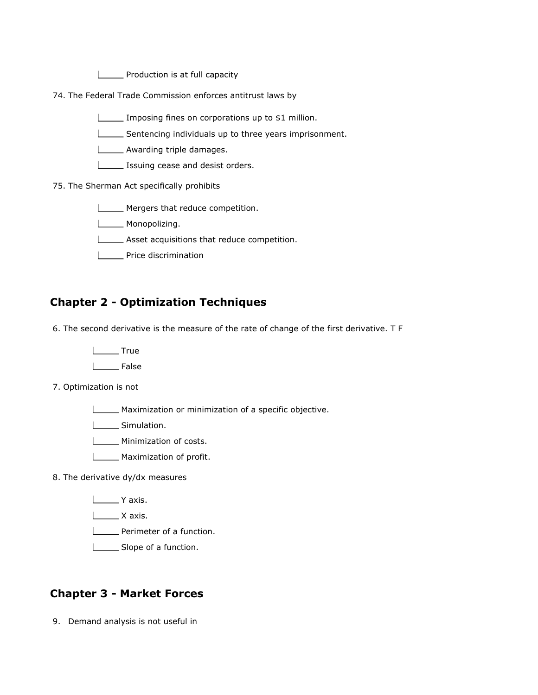**LETT** Production is at full capacity

74. The Federal Trade Commission enforces antitrust laws by

Imposing fines on corporations up to \$1 million.

Sentencing individuals up to three years imprisonment.

**LETT** Awarding triple damages.

**ISSUING** CEASE and desist orders.

#### 75. The Sherman Act specifically prohibits

Mergers that reduce competition.

**LETTE** Monopolizing.

Asset acquisitions that reduce competition.

**LETTE** Price discrimination

### Chapter 2 - Optimization Techniques

6. The second derivative is the measure of the rate of change of the first derivative. T F

**Lackson** True

**Looper** False

7. Optimization is not

Maximization or minimization of a specific objective.

Simulation.

**Minimization of costs.** 

**Maximization of profit.** 

8. The derivative dy/dx measures

Y axis.

 $\Box$  X axis.

**Perimeter of a function.** 

Slope of a function.

#### Chapter 3 - Market Forces

9. Demand analysis is not useful in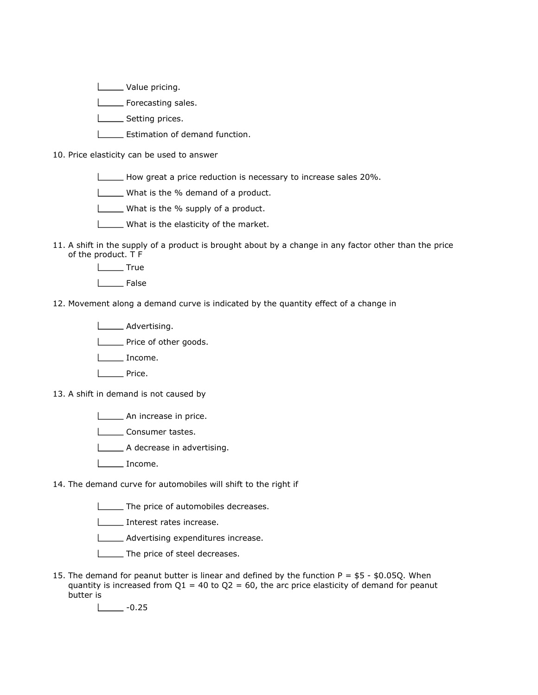**Lackson** Value pricing.

**LETTE** Forecasting sales.

Setting prices.

**L\_\_\_\_\_\_ Estimation of demand function.** 

10. Price elasticity can be used to answer

How great a price reduction is necessary to increase sales 20%.

What is the % demand of a product.

What is the % supply of a product.

What is the elasticity of the market.

11. A shift in the supply of a product is brought about by a change in any factor other than the price of the product. T F

L<sub>True</sub>

 $I_{\text{}}$  False

12. Movement along a demand curve is indicated by the quantity effect of a change in

**Lacker** Advertising.

**LETTE** Price of other goods.

Income.

**Lette** Price.

13. A shift in demand is not caused by

An increase in price.

**Lacks** Consumer tastes.

A decrease in advertising.

Income.

14. The demand curve for automobiles will shift to the right if

**The price of automobiles decreases.** 

**Interest rates increase.** 

**LECTE** Advertising expenditures increase.

**LECTE** The price of steel decreases.

15. The demand for peanut butter is linear and defined by the function P = \$5 - \$0.05Q. When quantity is increased from  $Q1 = 40$  to  $Q2 = 60$ , the arc price elasticity of demand for peanut butter is

 $\frac{1}{2}$  -0.25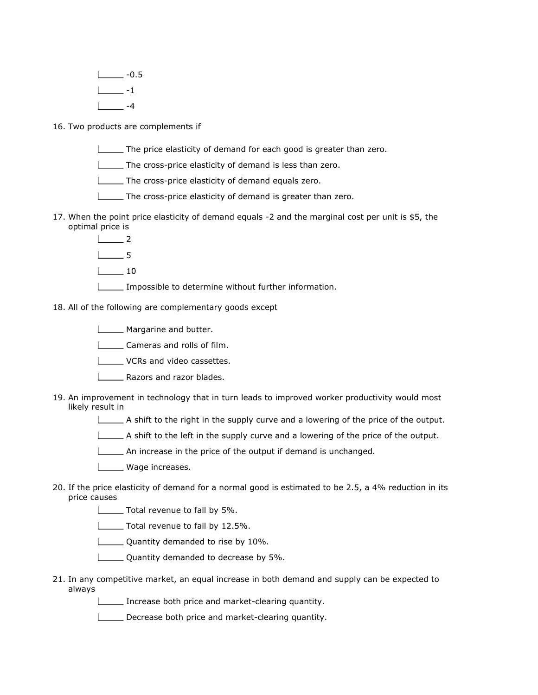$1 -0.5$  $\frac{1}{2}$  -1  $\sqrt{4}$ 

16. Two products are complements if

- The price elasticity of demand for each good is greater than zero.
- The cross-price elasticity of demand is less than zero.
- The cross-price elasticity of demand equals zero.
- The cross-price elasticity of demand is greater than zero.
- 17. When the point price elasticity of demand equals -2 and the marginal cost per unit is \$5, the optimal price is
	- $\perp$  2
	- 5
	- $\Box$ 10
	- Impossible to determine without further information.

18. All of the following are complementary goods except

- **LECTE** Margarine and butter.
- Cameras and rolls of film.
- L\_\_\_\_\_ VCRs and video cassettes.
- **LETT** Razors and razor blades.
- 19. An improvement in technology that in turn leads to improved worker productivity would most likely result in
	- $\Box$  A shift to the right in the supply curve and a lowering of the price of the output.
	- A shift to the left in the supply curve and a lowering of the price of the output.
	- An increase in the price of the output if demand is unchanged.
	- **LECTE** Wage increases.
- 20. If the price elasticity of demand for a normal good is estimated to be 2.5, a 4% reduction in its price causes
	- **Total revenue to fall by 5%.**
	- Total revenue to fall by 12.5%.
	- **LETT** Quantity demanded to rise by 10%.
	- **L** Quantity demanded to decrease by 5%.
- 21. In any competitive market, an equal increase in both demand and supply can be expected to always
	- Increase both price and market-clearing quantity.
	- Decrease both price and market-clearing quantity.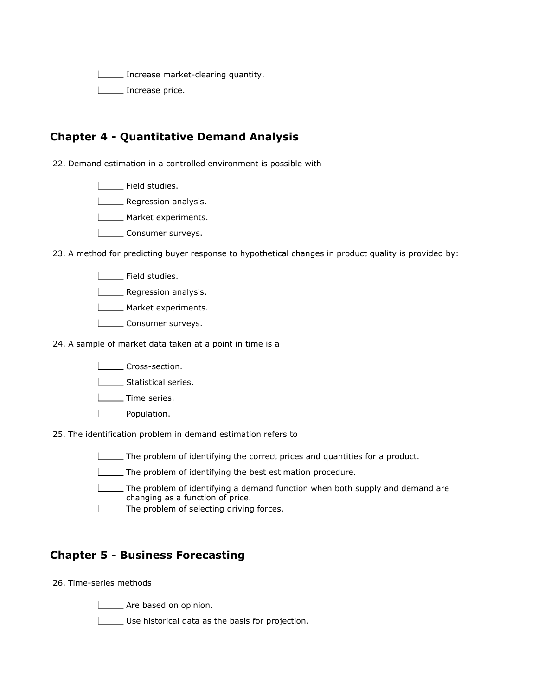Increase market-clearing quantity.

L\_\_\_\_\_\_ Increase price.

## Chapter 4 - Quantitative Demand Analysis

22. Demand estimation in a controlled environment is possible with

**LETTE** Field studies.

**L\_\_\_\_\_** Regression analysis.

- **LETTE** Market experiments.
- **LETTE** Consumer surveys.

23. A method for predicting buyer response to hypothetical changes in product quality is provided by:

- | Field studies.
- **Lackson** analysis.
- **LETTE** Market experiments.
- Lonsumer surveys.
- 24. A sample of market data taken at a point in time is a
	- L**Cross-section**.
	- **Statistical series.**
	- L<sub>\_\_\_\_</sub>Time series.
	- **Lackson** Population.
- 25. The identification problem in demand estimation refers to
	- The problem of identifying the correct prices and quantities for a product.
	- The problem of identifying the best estimation procedure.
	- The problem of identifying a demand function when both supply and demand are changing as a function of price.
	- **The problem of selecting driving forces.**

#### Chapter 5 - Business Forecasting

#### 26. Time-series methods

Are based on opinion.

Use historical data as the basis for projection.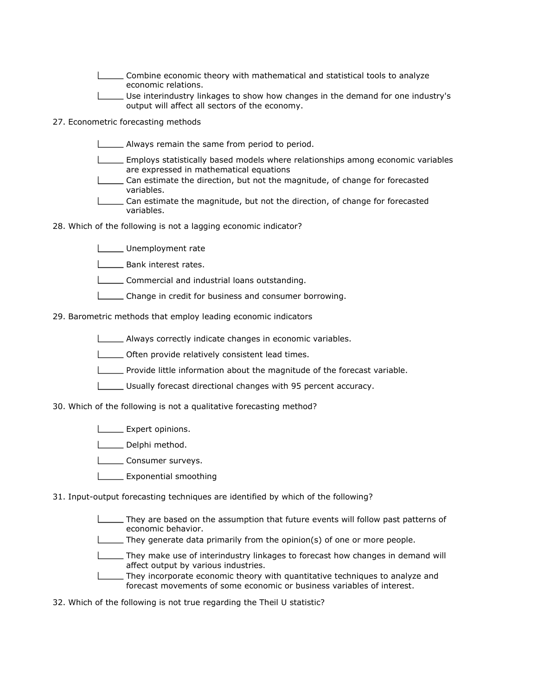- Combine economic theory with mathematical and statistical tools to analyze economic relations.
- Use interindustry linkages to show how changes in the demand for one industry's output will affect all sectors of the economy.
- 27. Econometric forecasting methods
	- **Always remain the same from period to period.**
	- Employs statistically based models where relationships among economic variables are expressed in mathematical equations
	- Can estimate the direction, but not the magnitude, of change for forecasted variables.
	- Can estimate the magnitude, but not the direction, of change for forecasted variables.
- 28. Which of the following is not a lagging economic indicator?
	- Unemployment rate
	- **LETTE** Bank interest rates.
	- **LECOMMERGIAL COMMERGIAL COMMERGIAL COMMERGIAL COMMERGIAL COMMERGIAL COMMERGIAL COMMERGIAL COMMERGIAL COMMERGIA**
	- Change in credit for business and consumer borrowing.

29. Barometric methods that employ leading economic indicators

- Always correctly indicate changes in economic variables.
- **LETT** Often provide relatively consistent lead times.
- Provide little information about the magnitude of the forecast variable.
- Usually forecast directional changes with 95 percent accuracy.

30. Which of the following is not a qualitative forecasting method?

- **LEXPERENT** opinions.
- L\_\_\_\_ Delphi method.
- **Lonsumer surveys.**
- **Exponential smoothing**
- 31. Input-output forecasting techniques are identified by which of the following?
	- They are based on the assumption that future events will follow past patterns of economic behavior.
	- They generate data primarily from the opinion(s) of one or more people.
	- They make use of interindustry linkages to forecast how changes in demand will affect output by various industries.
	- They incorporate economic theory with quantitative techniques to analyze and forecast movements of some economic or business variables of interest.
- 32. Which of the following is not true regarding the Theil U statistic?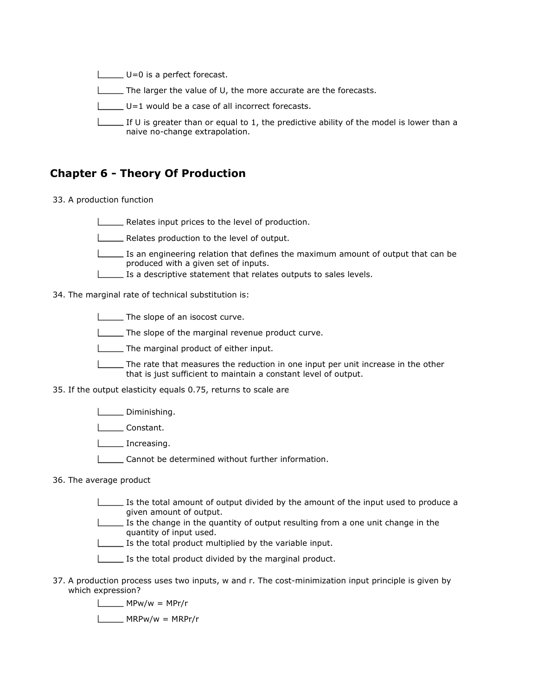U=0 is a perfect forecast. The larger the value of U, the more accurate are the forecasts. U=1 would be a case of all incorrect forecasts. If U is greater than or equal to 1, the predictive ability of the model is lower than a naive no-change extrapolation.

### Chapter 6 - Theory Of Production

33. A production function

Relates input prices to the level of production.

**LETT** Relates production to the level of output.

 $\Box$  Is an engineering relation that defines the maximum amount of output that can be produced with a given set of inputs.

**IS a descriptive statement that relates outputs to sales levels.** 

34. The marginal rate of technical substitution is:

**The slope of an isocost curve.** 

The slope of the marginal revenue product curve.

The marginal product of either input.

The rate that measures the reduction in one input per unit increase in the other that is just sufficient to maintain a constant level of output.

35. If the output elasticity equals 0.75, returns to scale are

**LEAU** Diminishing.

L**Constant.** 

L<sub>increasing.</sub>

L\_\_\_\_\_ Cannot be determined without further information.

36. The average product

- Is the total amount of output divided by the amount of the input used to produce a given amount of output.
- Is the change in the quantity of output resulting from a one unit change in the quantity of input used.
- Is the total product multiplied by the variable input.
- Is the total product divided by the marginal product.
- 37. A production process uses two inputs, w and r. The cost-minimization input principle is given by which expression?
	- $\Box$  MPw/w = MPr/r

 $\Box$ MRPw/w = MRPr/r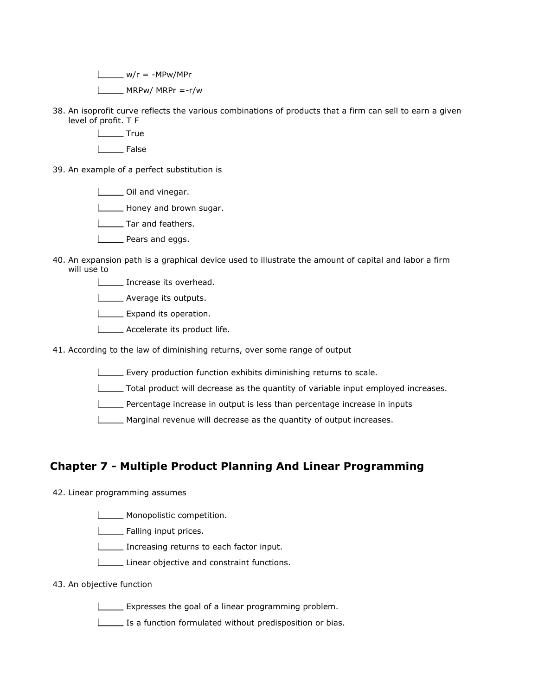$\Box$  w/r = -MPw/MPr  $L$  MRPw/ MRPr =-r/w

- 38. An isoprofit curve reflects the various combinations of products that a firm can sell to earn a given level of profit. T F
	- L<sub>Tue</sub> True
	- | False
- 39. An example of a perfect substitution is
	- Oil and vinegar.
	- **Honey and brown sugar.**
	- **LETARED** Tar and feathers.
	- **LETT** Pears and eggs.
- 40. An expansion path is a graphical device used to illustrate the amount of capital and labor a firm will use to
	- **Increase its overhead.**
	- **LECT** Average its outputs.
	- **LEXPANDITIES** Expand its operation.
	- **LECTE** Accelerate its product life.
- 41. According to the law of diminishing returns, over some range of output
	- Every production function exhibits diminishing returns to scale.
	- Total product will decrease as the quantity of variable input employed increases.
	- Percentage increase in output is less than percentage increase in inputs
	- **Marginal revenue will decrease as the quantity of output increases.**

## Chapter 7 - Multiple Product Planning And Linear Programming

#### 42. Linear programming assumes

- **LECTE** Monopolistic competition.
- Falling input prices.
- Increasing returns to each factor input.
- Linear objective and constraint functions.

#### 43. An objective function

- $\Box$  Expresses the goal of a linear programming problem.
- Is a function formulated without predisposition or bias.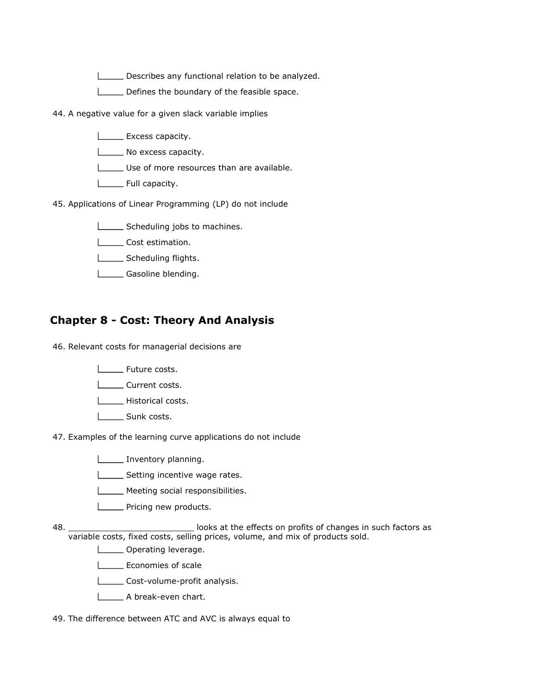Describes any functional relation to be analyzed.

Defines the boundary of the feasible space.

- 44. A negative value for a given slack variable implies
	- **Excess capacity.**
	- **No excess capacity.**
	- Use of more resources than are available.
	- **L** Full capacity.
- 45. Applications of Linear Programming (LP) do not include
	- Scheduling jobs to machines.
	- Lost estimation.
	- Scheduling flights.
	- **L** Gasoline blending.

## Chapter 8 - Cost: Theory And Analysis

46. Relevant costs for managerial decisions are

- | Future costs.
- L**L** Current costs.
- **LECCCC** Historical costs.
- L\_\_\_\_\_\_ Sunk costs.
- 47. Examples of the learning curve applications do not include
	- Inventory planning.
	- Setting incentive wage rates.
	- **LETTE** Meeting social responsibilities.
	- **LETTE** Pricing new products.
- 48. looks at the effects on profits of changes in such factors as variable costs, fixed costs, selling prices, volume, and mix of products sold.
	- **Lieum** Operating leverage.
	- **LECONOMIES of scale**
	- Cost-volume-profit analysis.
	- A break-even chart.
- 49. The difference between ATC and AVC is always equal to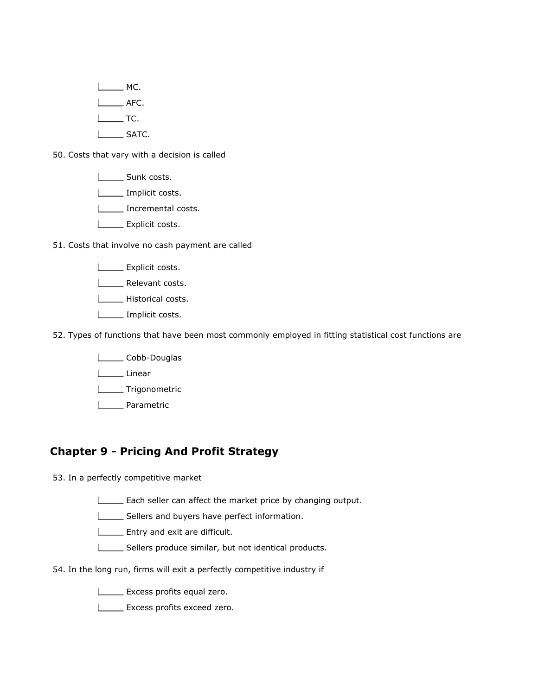$\Box$  MC. L<sub>AFC</sub>.  $I_{\text{max}}$  TC. **LEARGE SATC.** 

50. Costs that vary with a decision is called

**Lacks** Sunk costs.

L<sub>L</sub>Implicit costs.

Incremental costs.

**LEXPLICITY** COSts.

51. Costs that involve no cash payment are called

**LEXPLICITY** COSts.

Lettevant costs.

**LECTE** Historical costs.

**LETT** Implicit costs.

52. Types of functions that have been most commonly employed in fitting statistical cost functions are

Lobb-Douglas

Linear

Trigonometric

L<sub>Dee</sub> Parametric

### Chapter 9 - Pricing And Profit Strategy

53. In a perfectly competitive market

**Each seller can affect the market price by changing output.** 

Sellers and buyers have perfect information.

**Entry and exit are difficult.** 

Sellers produce similar, but not identical products.

54. In the long run, firms will exit a perfectly competitive industry if

**LEXCESS** profits equal zero.

**LEXCESS** profits exceed zero.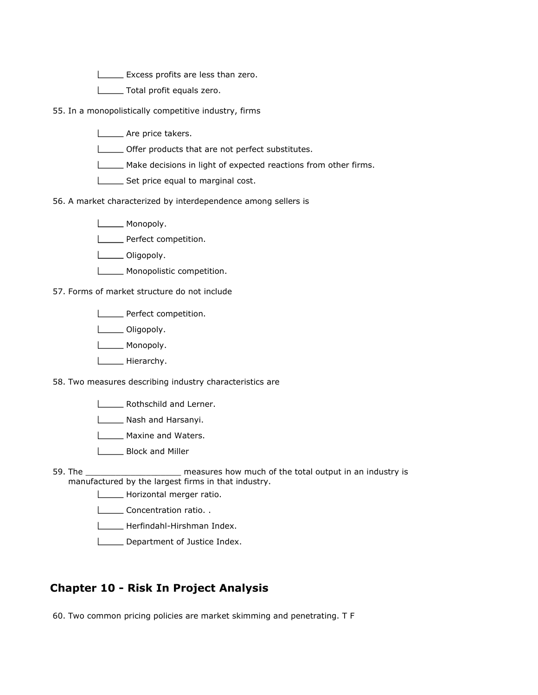**EXCELER IN EXCESS profits are less than zero.** 

**L\_\_\_\_\_** Total profit equals zero.

55. In a monopolistically competitive industry, firms

- **LECCC** Are price takers.
- Offer products that are not perfect substitutes.
- Make decisions in light of expected reactions from other firms.
- Set price equal to marginal cost.
- 56. A market characterized by interdependence among sellers is
	- **Listing** Monopoly.
	- **LETTE** Perfect competition.
	- L\_\_\_\_\_\_ Oligopoly.
	- **Monopolistic competition.**

57. Forms of market structure do not include

- **LETTE** Perfect competition.
- L**L** Oligopoly.
- **Listing** Monopoly.
- **L**\_\_\_\_\_\_\_\_ Hierarchy.
- 58. Two measures describing industry characteristics are
	- **LETTE** Rothschild and Lerner.
	- Nash and Harsanyi.
	- **L** Maxine and Waters.
	- L<sub>\_\_\_\_</sub>\_\_\_\_ Block and Miller
- 59.  $T$  measures how much of the total output in an industry is manufactured by the largest firms in that industry.
	- Horizontal merger ratio.
	- **LACCONCENTED** Concentration ratio..
	- Herfindahl-Hirshman Index.
	- Department of Justice Index.

## Chapter 10 - Risk In Project Analysis

60. Two common pricing policies are market skimming and penetrating. T F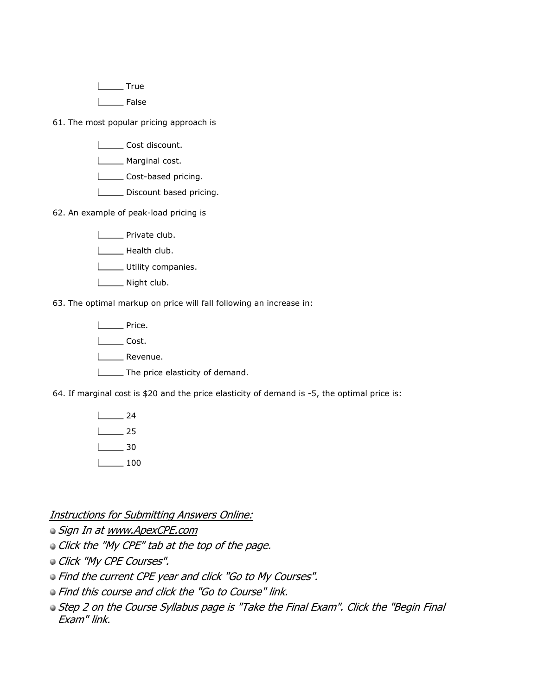L<sub>te</sub> True

I \_\_\_\_ False

61. The most popular pricing approach is

- Lost discount.
- **L**\_\_\_\_\_\_ Marginal cost.
- Lost-based pricing.
- Discount based pricing.
- 62. An example of peak-load pricing is
	- **LECTE** Private club.
	- Health club.
	- Utility companies.
	- Night club.

63. The optimal markup on price will fall following an increase in:

**L\_\_\_\_** Price.

Latter Cost.

L**L** Revenue.

The price elasticity of demand.

64. If marginal cost is \$20 and the price elasticity of demand is -5, the optimal price is:

24 25  $\Box$ 30  $\frac{1}{100}$ 

Instructions for Submitting Answers Online:

Sign In at www.ApexCPE.com

Click the "My CPE" tab at the top of the page.

Click "My CPE Courses".

Find the current CPE year and click "Go to My Courses".

Find this course and click the "Go to Course" link.

**Step 2 on the Course Syllabus page is "Take the Final Exam". Click the "Begin Final** Exam" link.